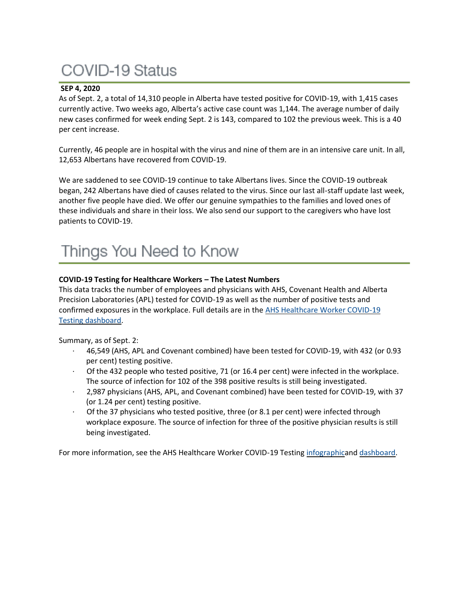# **COVID-19 Status**

## **SEP 4, 2020**

As of Sept. 2, a total of 14,310 people in Alberta have tested positive for COVID-19, with 1,415 cases currently active. Two weeks ago, Alberta's active case count was 1,144. The average number of daily new cases confirmed for week ending Sept. 2 is 143, compared to 102 the previous week. This is a 40 per cent increase.

Currently, 46 people are in hospital with the virus and nine of them are in an intensive care unit. In all, 12,653 Albertans have recovered from COVID-19.

We are saddened to see COVID-19 continue to take Albertans lives. Since the COVID-19 outbreak began, 242 Albertans have died of causes related to the virus. Since our last all-staff update last week, another five people have died. We offer our genuine sympathies to the families and loved ones of these individuals and share in their loss. We also send our support to the caregivers who have lost patients to COVID-19.

## Things You Need to Know

## **COVID-19 Testing for Healthcare Workers – The Latest Numbers**

This data tracks the number of employees and physicians with AHS, Covenant Health and Alberta Precision Laboratories (APL) tested for COVID-19 as well as the number of positive tests and confirmed exposures in the workplace. Full details are in the [AHS Healthcare Worker COVID-19](https://tableau.albertahealthservices.ca/#/views/AHSEmployeePhysicianCOVID-19TestSurveillanceDashboard/Introduction?:iid=1)  [Testing dashboard.](https://tableau.albertahealthservices.ca/#/views/AHSEmployeePhysicianCOVID-19TestSurveillanceDashboard/Introduction?:iid=1)

Summary, as of Sept. 2:

- · 46,549 (AHS, APL and Covenant combined) have been tested for COVID-19, with 432 (or 0.93 per cent) testing positive.
- Of the 432 people who tested positive, 71 (or 16.4 per cent) were infected in the workplace. The source of infection for 102 of the 398 positive results is still being investigated.
- · 2,987 physicians (AHS, APL, and Covenant combined) have been tested for COVID-19, with 37 (or 1.24 per cent) testing positive.
- Of the 37 physicians who tested positive, three (or 8.1 per cent) were infected through workplace exposure. The source of infection for three of the positive physician results is still being investigated.

For more information, see the AHS Healthcare Worker COVID-19 Testing [infographica](https://insite.albertahealthservices.ca/main/assets/tls/ep/tls-ep-covid-19-healthcare-worker-testing-infographic.pdf)nd [dashboard.](https://tableau.albertahealthservices.ca/#/views/AHSEmployeePhysicianCOVID-19TestSurveillanceDashboard/Introduction?:iid=1)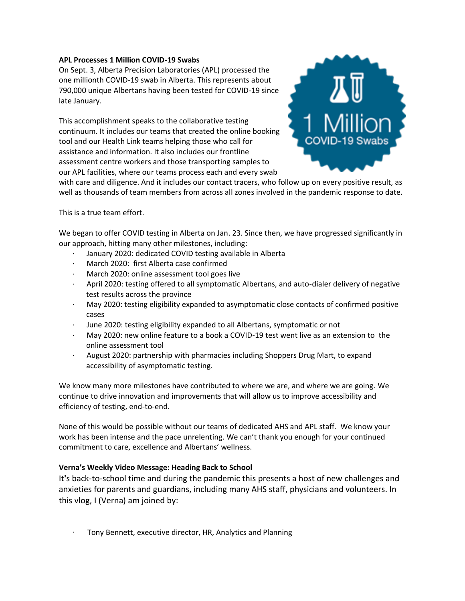## **APL Processes 1 Million COVID-19 Swabs**

On Sept. 3, Alberta Precision Laboratories (APL) processed the one millionth COVID-19 swab in Alberta. This represents about 790,000 unique Albertans having been tested for COVID-19 since late January.

This accomplishment speaks to the collaborative testing continuum. It includes our teams that created the online booking tool and our Health Link teams helping those who call for assistance and information. It also includes our frontline assessment centre workers and those transporting samples to our APL facilities, where our teams process each and every swab



with care and diligence. And it includes our contact tracers, who follow up on every positive result, as well as thousands of team members from across all zones involved in the pandemic response to date.

#### This is a true team effort.

We began to offer COVID testing in Alberta on Jan. 23. Since then, we have progressed significantly in our approach, hitting many other milestones, including:

- · January 2020: dedicated COVID testing available in Alberta
- March 2020: first Alberta case confirmed
- · March 2020: online assessment tool goes live
- April 2020: testing offered to all symptomatic Albertans, and auto-dialer delivery of negative test results across the province
- · May 2020: testing eligibility expanded to asymptomatic close contacts of confirmed positive cases
- June 2020: testing eligibility expanded to all Albertans, symptomatic or not
- · May 2020: new online feature to a book a COVID-19 test went live as an extension to the online assessment tool
- · August 2020: partnership with pharmacies including Shoppers Drug Mart, to expand accessibility of asymptomatic testing.

We know many more milestones have contributed to where we are, and where we are going. We continue to drive innovation and improvements that will allow us to improve accessibility and efficiency of testing, end-to-end.

None of this would be possible without our teams of dedicated AHS and APL staff. We know your work has been intense and the pace unrelenting. We can't thank you enough for your continued commitment to care, excellence and Albertans' wellness.

## **Verna's Weekly Video Message: Heading Back to School**

It**'**s back-to-school time and during the pandemic this presents a host of new challenges and anxieties for parents and guardians, including many AHS staff, physicians and volunteers. In this vlog, I (Verna) am joined by:

· Tony Bennett, executive director, HR, Analytics and Planning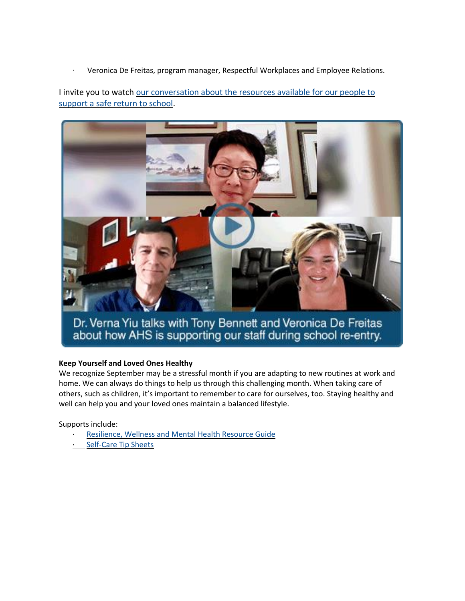· Veronica De Freitas, program manager, Respectful Workplaces and Employee Relations.

I invite you to watch [our conversation about the resources available for our people to](https://uat-www.albertahealthservices.ca/blogs/ceo/288.aspx#.X1EvmZ5KiUk)  [support a safe return to school.](https://uat-www.albertahealthservices.ca/blogs/ceo/288.aspx#.X1EvmZ5KiUk)



Dr. Verna Yiu talks with Tony Bennett and Veronica De Freitas<br>about how AHS is supporting our staff during school re-entry.

## **Keep Yourself and Loved Ones Healthy**

We recognize September may be a stressful month if you are adapting to new routines at work and home. We can always do things to help us through this challenging month. When taking care of others, such as children, it's important to remember to care for ourselves, too. Staying healthy and well can help you and your loved ones maintain a balanced lifestyle.

Supports include:

- [Resilience, Wellness and Mental Health Resource Guide](https://insite.albertahealthservices.ca/main/assets/hr/tms-hr-whs-resilience-wellness-mental-health-resource-guide.pdf)
- **[Self-Care Tip Sheets](https://insite.albertahealthservices.ca/main/assets/hr/tms-hr-whs-self-care-tactics.pdf)**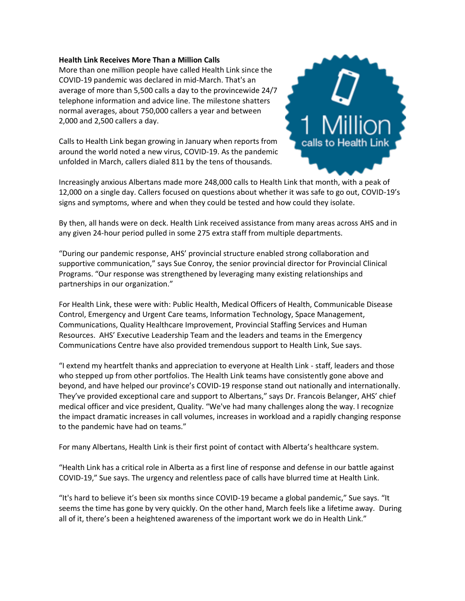#### **Health Link Receives More Than a Million Calls**

More than one million people have called Health Link since the COVID-19 pandemic was declared in mid-March. That's an average of more than 5,500 calls a day to the provincewide 24/7 telephone information and advice line. The milestone shatters normal averages, about 750,000 callers a year and between 2,000 and 2,500 callers a day.

Calls to Health Link began growing in January when reports from around the world noted a new virus, COVID-19. As the pandemic unfolded in March, callers dialed 811 by the tens of thousands.



Increasingly anxious Albertans made more 248,000 calls to Health Link that month, with a peak of 12,000 on a single day. Callers focused on questions about whether it was safe to go out, COVID-19's signs and symptoms, where and when they could be tested and how could they isolate.

By then, all hands were on deck. Health Link received assistance from many areas across AHS and in any given 24-hour period pulled in some 275 extra staff from multiple departments.

"During our pandemic response, AHS' provincial structure enabled strong collaboration and supportive communication," says Sue Conroy, the senior provincial director for Provincial Clinical Programs. "Our response was strengthened by leveraging many existing relationships and partnerships in our organization."

For Health Link, these were with: Public Health, Medical Officers of Health, Communicable Disease Control, Emergency and Urgent Care teams, Information Technology, Space Management, Communications, Quality Healthcare Improvement, Provincial Staffing Services and Human Resources. AHS' Executive Leadership Team and the leaders and teams in the Emergency Communications Centre have also provided tremendous support to Health Link, Sue says.

"I extend my heartfelt thanks and appreciation to everyone at Health Link - staff, leaders and those who stepped up from other portfolios. The Health Link teams have consistently gone above and beyond, and have helped our province's COVID-19 response stand out nationally and internationally. They've provided exceptional care and support to Albertans," says Dr. Francois Belanger, AHS' chief medical officer and vice president, Quality. "We've had many challenges along the way. I recognize the impact dramatic increases in call volumes, increases in workload and a rapidly changing response to the pandemic have had on teams."

For many Albertans, Health Link is their first point of contact with Alberta's healthcare system.

"Health Link has a critical role in Alberta as a first line of response and defense in our battle against COVID-19," Sue says. The urgency and relentless pace of calls have blurred time at Health Link.

"It's hard to believe it's been six months since COVID-19 became a global pandemic," Sue says. "It seems the time has gone by very quickly. On the other hand, March feels like a lifetime away. During all of it, there's been a heightened awareness of the important work we do in Health Link."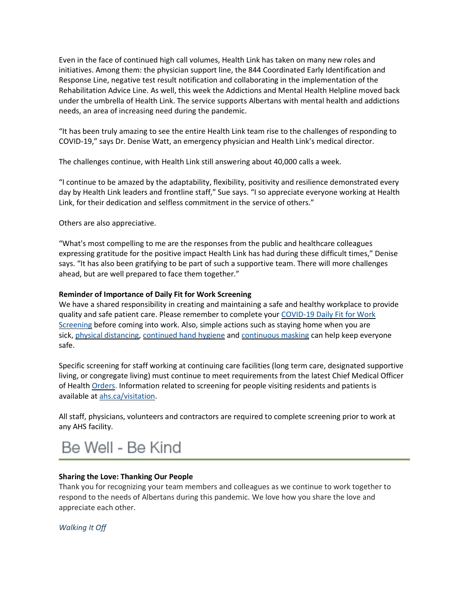Even in the face of continued high call volumes, Health Link has taken on many new roles and initiatives. Among them: the physician support line, the 844 Coordinated Early Identification and Response Line, negative test result notification and collaborating in the implementation of the Rehabilitation Advice Line. As well, this week the Addictions and Mental Health Helpline moved back under the umbrella of Health Link. The service supports Albertans with mental health and addictions needs, an area of increasing need during the pandemic.

"It has been truly amazing to see the entire Health Link team rise to the challenges of responding to COVID-19," says Dr. Denise Watt, an emergency physician and Health Link's medical director.

The challenges continue, with Health Link still answering about 40,000 calls a week.

"I continue to be amazed by the adaptability, flexibility, positivity and resilience demonstrated every day by Health Link leaders and frontline staff," Sue says. "I so appreciate everyone working at Health Link, for their dedication and selfless commitment in the service of others."

Others are also appreciative.

"What's most compelling to me are the responses from the public and healthcare colleagues expressing gratitude for the positive impact Health Link has had during these difficult times," Denise says. "It has also been gratifying to be part of such a supportive team. There will more challenges ahead, but are well prepared to face them together."

## **Reminder of Importance of Daily Fit for Work Screening**

We have a shared responsibility in creating and maintaining a safe and healthy workplace to provide quality and safe patient care. Please remember to complete your [COVID-19 Daily Fit for Work](https://www.albertahealthservices.ca/topics/Page17076.aspx)  [Screening](https://www.albertahealthservices.ca/topics/Page17076.aspx) before coming into work. Also, simple actions such as staying home when you are sick, [physical distancing,](https://www.albertahealthservices.ca/topics/Page16997.aspx#social) [continued hand hygiene](https://insite.albertahealthservices.ca/tools/hh/Page9900.aspx) and [continuous masking](https://insite.albertahealthservices.ca/tools/Page24798.aspx) can help keep everyone safe.

Specific screening for staff working at continuing care facilities (long term care, designated supportive living, or congregate living) must continue to meet requirements from the latest Chief Medical Officer of Health [Orders.](https://www.alberta.ca/covid-19-orders-and-legislation.aspx) Information related to screening for people visiting residents and patients is available at [ahs.ca/visitation.](http://www.ahs.ca/visitation)

All staff, physicians, volunteers and contractors are required to complete screening prior to work at any AHS facility.

## Be Well - Be Kind

## **Sharing the Love: Thanking Our People**

Thank you for recognizing your team members and colleagues as we continue to work together to respond to the needs of Albertans during this pandemic. We love how you share the love and appreciate each other.

*Walking It Off*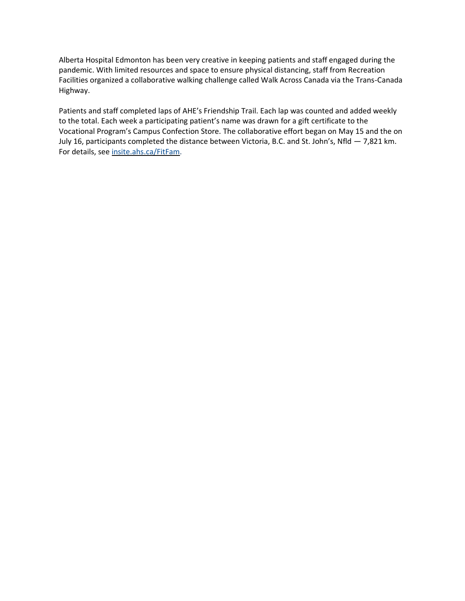Alberta Hospital Edmonton has been very creative in keeping patients and staff engaged during the pandemic. With limited resources and space to ensure physical distancing, staff from Recreation Facilities organized a collaborative walking challenge called Walk Across Canada via the Trans-Canada Highway.

Patients and staff completed laps of AHE's Friendship Trail. Each lap was counted and added weekly to the total. Each week a participating patient's name was drawn for a gift certificate to the Vocational Program's Campus Confection Store. The collaborative effort began on May 15 and the on July 16, participants completed the distance between Victoria, B.C. and St. John's, Nfld — 7,821 km. For details, see [insite.ahs.ca/FitFam.](https://insite.albertahealthservices.ca/about/Page22509.aspx)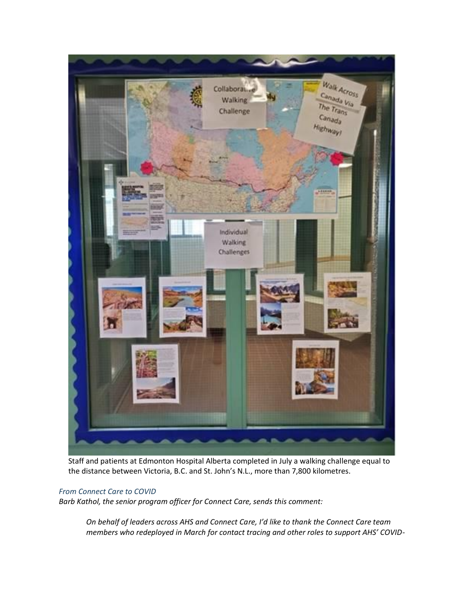

Staff and patients at Edmonton Hospital Alberta completed in July a walking challenge equal to the distance between Victoria, B.C. and St. John's N.L., more than 7,800 kilometres.

## *From Connect Care to COVID*

*Barb Kathol, the senior program officer for Connect Care, sends this comment:*

*On behalf of leaders across AHS and Connect Care, I'd like to thank the Connect Care team members who redeployed in March for contact tracing and other roles to support AHS' COVID-*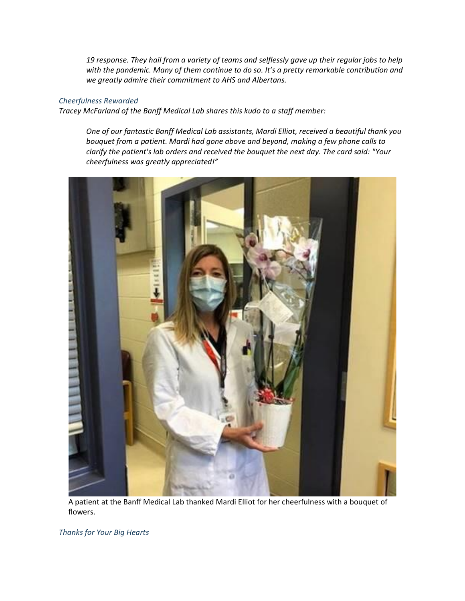*19 response. They hail from a variety of teams and selflessly gave up their regular jobs to help with the pandemic. Many of them continue to do so. It's a pretty remarkable contribution and we greatly admire their commitment to AHS and Albertans.*

#### *Cheerfulness Rewarded*

*Tracey McFarland of the Banff Medical Lab shares this kudo to a staff member:*

*One of our fantastic Banff Medical Lab assistants, Mardi Elliot, received a beautiful thank you bouquet from a patient. Mardi had gone above and beyond, making a few phone calls to clarify the patient's lab orders and received the bouquet the next day. The card said: "Your cheerfulness was greatly appreciated!"*



A patient at the Banff Medical Lab thanked Mardi Elliot for her cheerfulness with a bouquet of flowers.

*Thanks for Your Big Hearts*